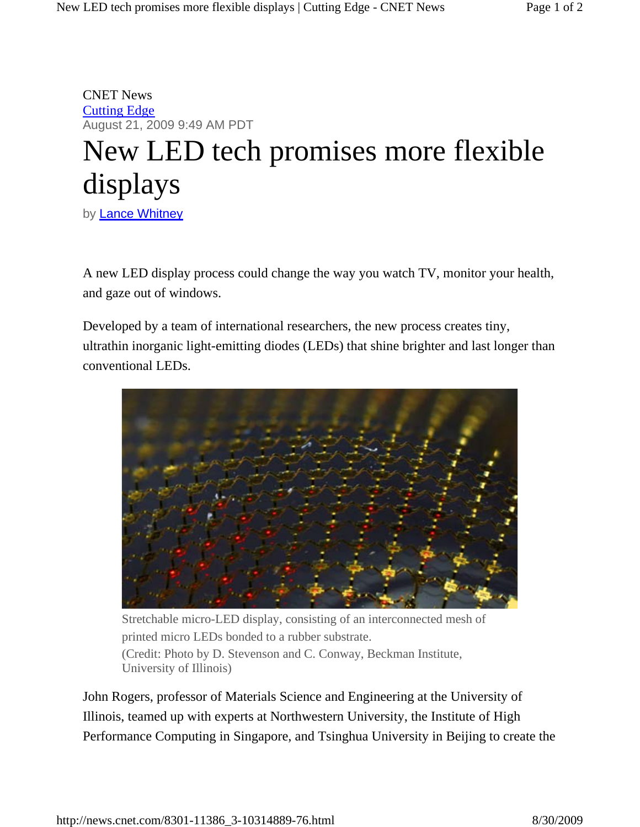CNET News Cutting Edge August 21, 2009 9:49 AM PDT

## New LED tech promises more flexible displays

by **Lance Whitney** 

A new LED display process could change the way you watch TV, monitor your health, and gaze out of windows.

Developed by a team of international researchers, the new process creates tiny, ultrathin inorganic light-emitting diodes (LEDs) that shine brighter and last longer than conventional LEDs.



Stretchable micro-LED display, consisting of an interconnected mesh of printed micro LEDs bonded to a rubber substrate. (Credit: Photo by D. Stevenson and C. Conway, Beckman Institute, University of Illinois)

John Rogers, professor of Materials Science and Engineering at the University of Illinois, teamed up with experts at Northwestern University, the Institute of High Performance Computing in Singapore, and Tsinghua University in Beijing to create the